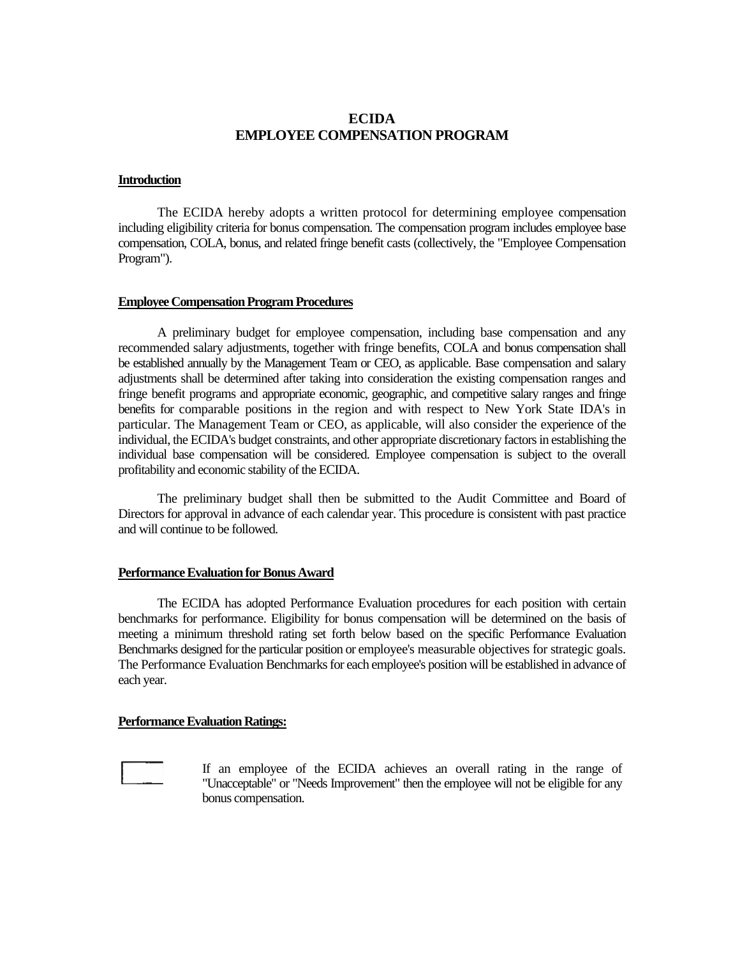# **ECIDA EMPLOYEE COMPENSATION PROGRAM**

#### **Introduction**

The ECIDA hereby adopts a written protocol for determining employee compensation including eligibility criteria for bonus compensation. The compensation program includes employee base compensation, COLA, bonus, and related fringe benefit casts (collectively, the "Employee Compensation Program").

#### **Employee Compensation Program Procedures**

A preliminary budget for employee compensation, including base compensation and any recommended salary adjustments, together with fringe benefits, COLA and bonus compensation shall be established annually by the Management Team or CEO, as applicable. Base compensation and salary adjustments shall be determined after taking into consideration the existing compensation ranges and fringe benefit programs and appropriate economic, geographic, and competitive salary ranges and fringe benefits for comparable positions in the region and with respect to New York State IDA's in particular. The Management Team or CEO, as applicable, will also consider the experience of the individual, the ECIDA's budget constraints, and other appropriate discretionary factors in establishing the individual base compensation will be considered. Employee compensation is subject to the overall profitability and economic stability of the ECIDA.

The preliminary budget shall then be submitted to the Audit Committee and Board of Directors for approval in advance of each calendar year. This procedure is consistent with past practice and will continue to be followed.

## **Performance Evaluation for Bonus Award**

The ECIDA has adopted Performance Evaluation procedures for each position with certain benchmarks for performance. Eligibility for bonus compensation will be determined on the basis of meeting a minimum threshold rating set forth below based on the specific Performance Evaluation Benchmarks designed for the particular position or employee's measurable objectives for strategic goals. The Performance Evaluation Benchmarks for each employee's position will be established in advance of each year.

### **Performance Evaluation Ratings:**



If an employee of the ECIDA achieves an overall rating in the range of "Unacceptable" or "Needs Improvement" then the employee will not be eligible for any bonus compensation.